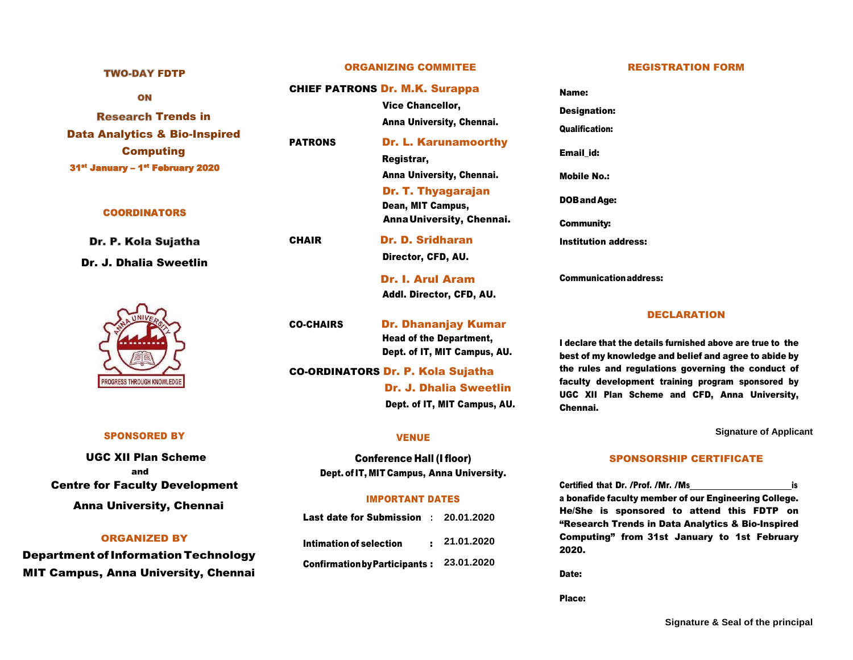# ON **Research Trends in** Data Analytics & Bio-Inspired Computing 31<sup>st</sup> January – 1<sup>st</sup> February 2020

#### **COORDINATORS**

**TWO-DAY FDTP** 

Dr. P. Kola Sujatha Dr. J. Dhalia Sweetlin



#### SPONSORED BY

UGC XII Plan Scheme and Centre for Faculty Development Anna University, Chennai

#### ORGANIZED BY

Department ofInformation Technology MIT Campus, Anna University, Chennai

# ORGANIZING COMMITEE

#### CHIEF PATRONS Dr. M.K. Surappa

Vice Chancellor, Anna University, Chennai.

PATRONS Dr. L. Karunamoorthy Registrar, Anna University, Chennai.

> Dr. T. Thyagarajan Dean, MIT Campus, AnnaUniversity, Chennai.

CHAIR Dr. D. Sridharan Director, CFD, AU.

> Dr. I. Arul Aram Addl. Director, CFD, AU.

CO-CHAIRS Dr. Dhananjay Kumar Head of the Department, Dept. of IT, MIT Campus, AU.

CO-ORDINATORS Dr. P. Kola Sujatha Dr. J. Dhalia Sweetlin Dept. of IT, MIT Campus, AU.

## VENUE

Conference Hall (I floor) Dept. of IT, MIT Campus, Anna University.

## IMPORTANT DATES

Last date for Submission **: 20.01.2020** Intimation of selection : **21.01.2020** ConfirmationbyParticipants : **23.01.2020**

#### REGISTRATION FORM

Name: Designation: Qualification: Email\_id: Mobile No.: DOBandAge: Community: Institution address:

Communicationaddress:

#### DECLARATION

I declare that the details furnished above are true to the best of my knowledge and belief and agree to abide by the rules and regulations governing the conduct of faculty development training program sponsored by UGC XII Plan Scheme and CFD, Anna University, Chennai.

**Signature of Applicant**

## SPONSORSHIP CERTIFICATE

Certified that Dr. /Prof. /Mr. /Ms is a bonafide faculty member of our Engineering College. He/She is sponsored to attend this FDTP on "Research Trends in Data Analytics & Bio-Inspired Computing" from 31st January to 1st February 2020.

Date:

Place: